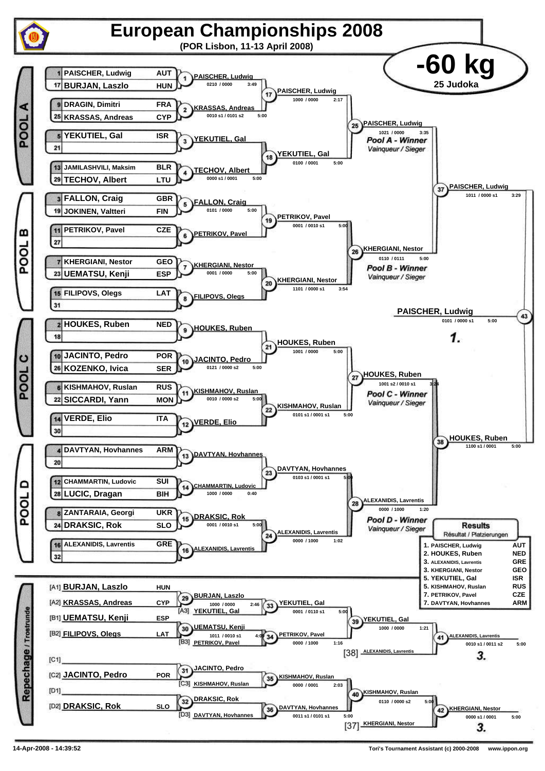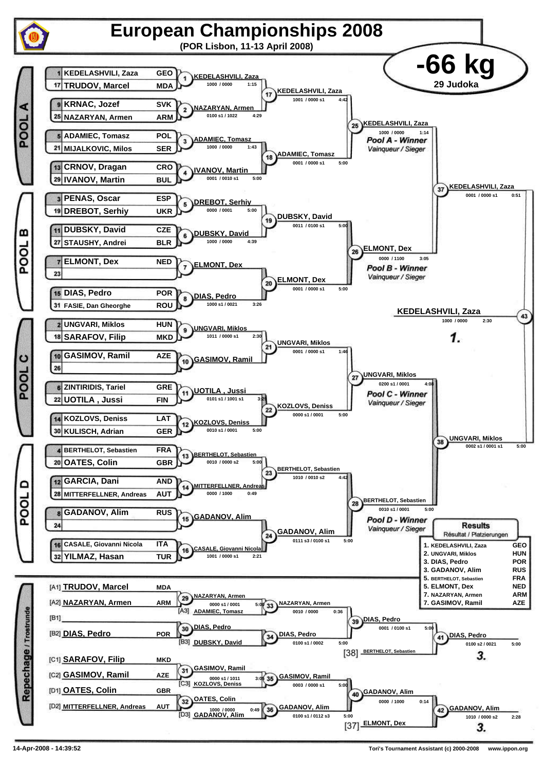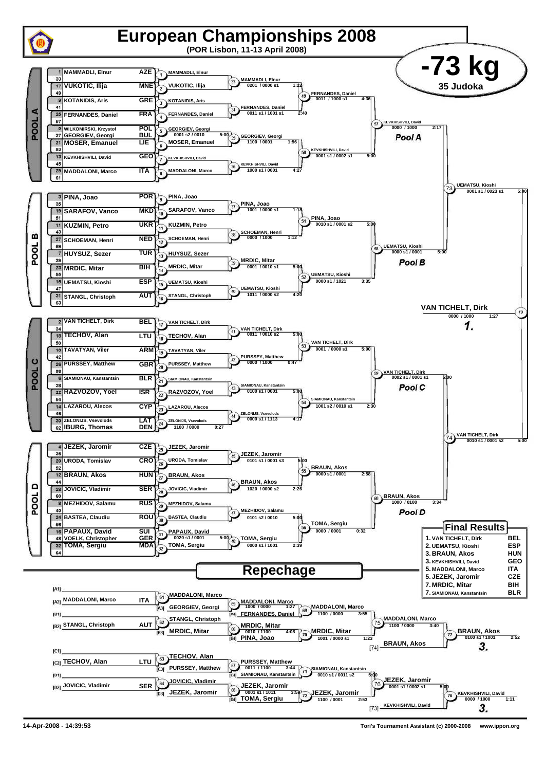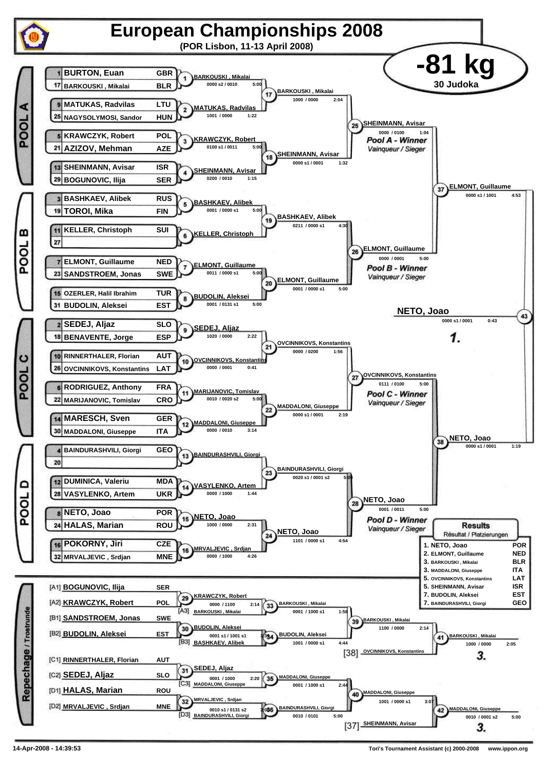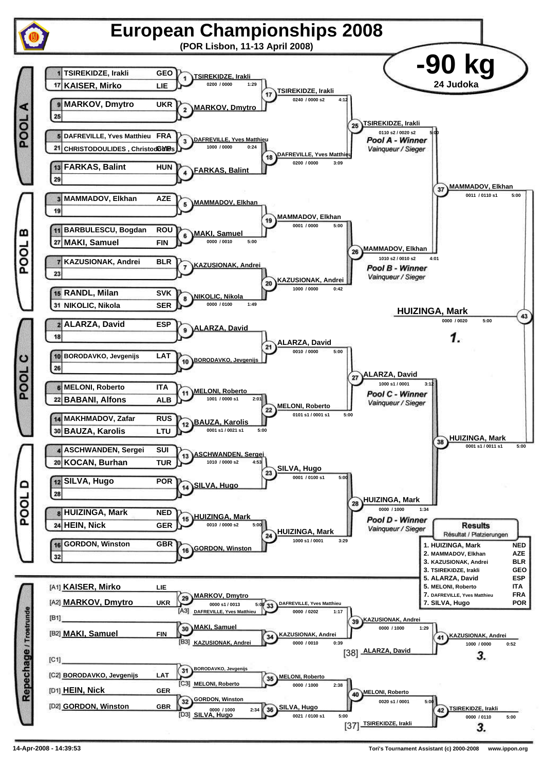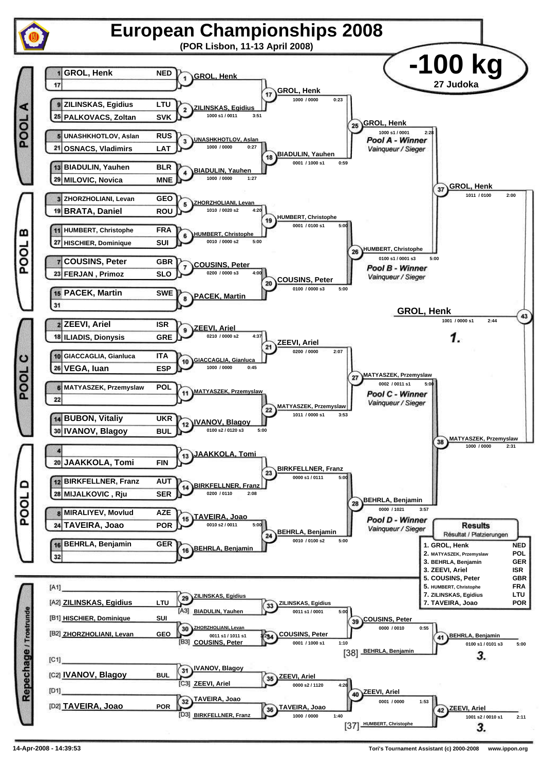